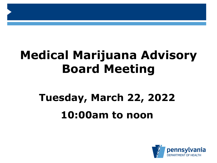# **Medical Marijuana Advisory Board Meeting**

# **Tuesday, March 22, 2022 10:00am to noon**

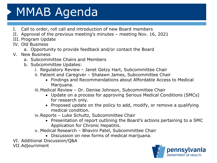# MMAB Agenda

- I. Call to order, roll call and introduction of new Board members
- II. Approval of the previous meeting's minutes meeting Nov. 16, 2021
- III. Program Update
- IV. Old Business
	- a. Opportunity to provide feedback and/or contact the Board
- V. New Business
	- a. Subcommittee Chairs and Members
	- b. Subcommittee Updates:
		- i. Regulatory Review Janet Getzy Hart, Subcommittee Chair
		- ii. Patient and Caregiver Shalawn James, Subcommittee Chair
			- Findings and Recommendations about Affordable Access to Medical Marijuana.

iii.Medical Review – Dr. Denise Johnson, Subcommittee Chair

- Update on a process for approving Serious Medical Conditions (SMCs) for research only.
- Proposed update on the policy to add, modify, or remove a qualifying medical condition.

iv.Reports – Luke Schultz, Subcommittee Chair

- Presentation of report outlining the Board's actions pertaining to a SMC Application for Chronic Hepatitis.
- v. Medical Research Bhavini Patel, Subcommittee Chair
	- Discussion on new forms of medical marijuana.

VI. Additional Discussion/Q&A

VII.Adjournment

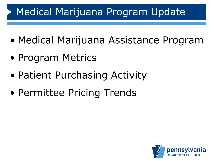- Medical Marijuana Assistance Program
- Program Metrics
- Patient Purchasing Activity
- Permittee Pricing Trends

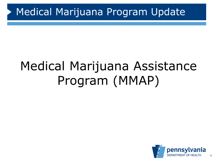# Medical Marijuana Assistance Program (MMAP)

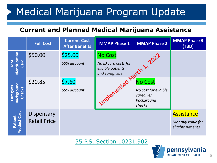#### **Current and Planned Medical Marijuana Assistance**

|                                          | <b>Full Cost</b>                  | <b>Current Cost</b><br><b>After Benefits</b> | <b>MMAP Phase 1</b>                                                           | <b>MMAP Phase 2</b>                                                         | <b>MMAP Phase 3</b><br>(TBD)                                |
|------------------------------------------|-----------------------------------|----------------------------------------------|-------------------------------------------------------------------------------|-----------------------------------------------------------------------------|-------------------------------------------------------------|
| MM<br>Identification<br>Card             | \$50.00                           | \$25.00<br>50% discount                      | <b>No Cost</b><br>No ID card costs for<br>eligible patients<br>and caregivers | <b>CM 1. 2022</b>                                                           |                                                             |
| <b>Background</b><br>Caregiver<br>Checks | \$20.85                           | \$7.60<br>65% discount                       | Implemented Mar                                                               | <b>No Cost</b><br>No cost for eligible<br>caregiver<br>background<br>checks |                                                             |
| <b>Product Cost</b><br>Patient           | Dispensary<br><b>Retail Price</b> |                                              |                                                                               |                                                                             | <b>Assistance</b><br>Monthly value for<br>eligible patients |

[35 P.S. Section 10231.902](https://www.legis.state.pa.us/cfdocs/legis/LI/uconsCheck.cfm?txtType=HTM&yr=2016&sessInd=0&smthLwInd=0&act=16&chpt=9&sctn=2&subsctn=0)

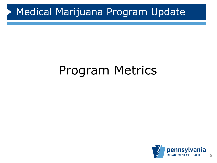#### **TRENDS**  Program Metrics

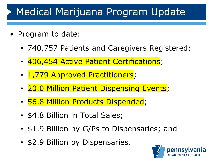- Program to date:
	- 740,757 Patients and Caregivers Registered;
	- 406,454 Active Patient Certifications;
	- 1,779 Approved Practitioners;
	- 20.0 Million Patient Dispensing Events;
	- 56.8 Million Products Dispended;
	- \$4.8 Billion in Total Sales;
	- \$1.9 Billion by G/Ps to Dispensaries; and
	- \$2.9 Billion by Dispensaries.

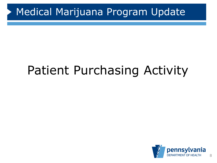#### **TRENDS** Patient Purchasing Activity

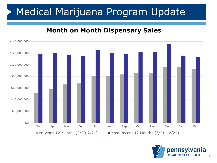#### **Month on Month Dispensary Sales**



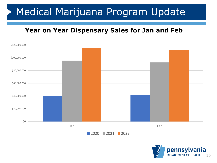#### **Year on Year Dispensary Sales for Jan and Feb**



■ 2020 ■ 2021 ■ 2022

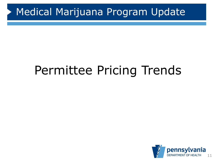#### **TRENDS**  Permittee Pricing Trends

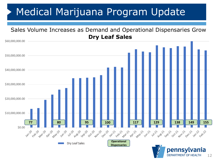

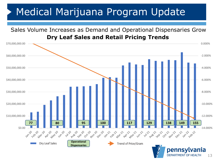

13

**DEPARTMENT OF HEALTH**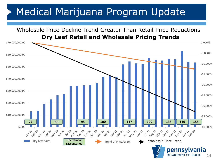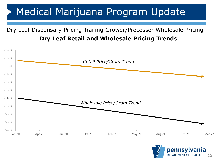#### Dry Leaf Dispensary Pricing Trailing Grower/Processor Wholesale Pricing **Dry Leaf Retail and Wholesale Pricing Trends**



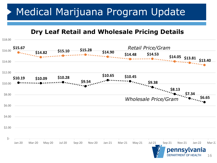**Dry Leaf Retail and Wholesale Pricing Details**



16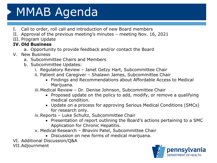# MMAB Agenda

- I. Call to order, roll call and introduction of new Board members
- II. Approval of the previous meeting's minutes meeting Nov. 16, 2021
- III. Program Update

#### **IV. Old Business**

- a. Opportunity to provide feedback and/or contact the Board
- V. New Business
	- a. Subcommittee Chairs and Members
	- b. Subcommittee Updates:
		- i. Regulatory Review Janet Getzy Hart, Subcommittee Chair
		- ii. Patient and Caregiver Shalawn James, Subcommittee Chair
			- Findings and Recommendations about Affordable Access to Medical Marijuana.

iii.Medical Review – Dr. Denise Johnson, Subcommittee Chair

- Proposed update on the policy to add, modify, or remove a qualifying medical condition.
- Update on a process for approving Serious Medical Conditions (SMCs) for research only.

iv.Reports – Luke Schultz, Subcommittee Chair

- Presentation of report outlining the Board's actions pertaining to a SMC Application for Chronic Hepatitis.
- v. Medical Research Bhavini Patel, Subcommittee Chair
	- Discussion on new forms of medical marijuana.

VI. Additional Discussion/Q&A

VII.Adjournment

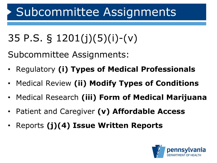# Subcommittee Assignments

35 P.S. § 1201(j)(5)(i)-(v)

Subcommittee Assignments:

- Regulatory **(i) Types of Medical Professionals**
- Medical Review **(ii) Modify Types of Conditions**
- Medical Research **(iii) Form of Medical Marijuana**
- Patient and Caregiver **(v) Affordable Access**
- Reports **(j)(4) Issue Written Reports**

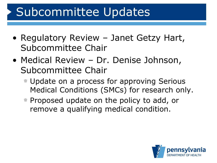# Subcommittee Updates

- Regulatory Review Janet Getzy Hart, Subcommittee Chair
- Medical Review Dr. Denise Johnson, Subcommittee Chair
	- **Update on a process for approving Serious** Medical Conditions (SMCs) for research only.
	- **Proposed update on the policy to add, or** remove a qualifying medical condition.

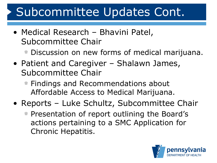# Subcommittee Updates Cont.

- Medical Research Bhavini Patel, Subcommittee Chair
	- Discussion on new forms of medical marijuana.
- Patient and Caregiver Shalawn James, Subcommittee Chair
	- **Findings and Recommendations about** Affordable Access to Medical Marijuana.
- Reports Luke Schultz, Subcommittee Chair
	- **Presentation of report outlining the Board's** actions pertaining to a SMC Application for Chronic Hepatitis.